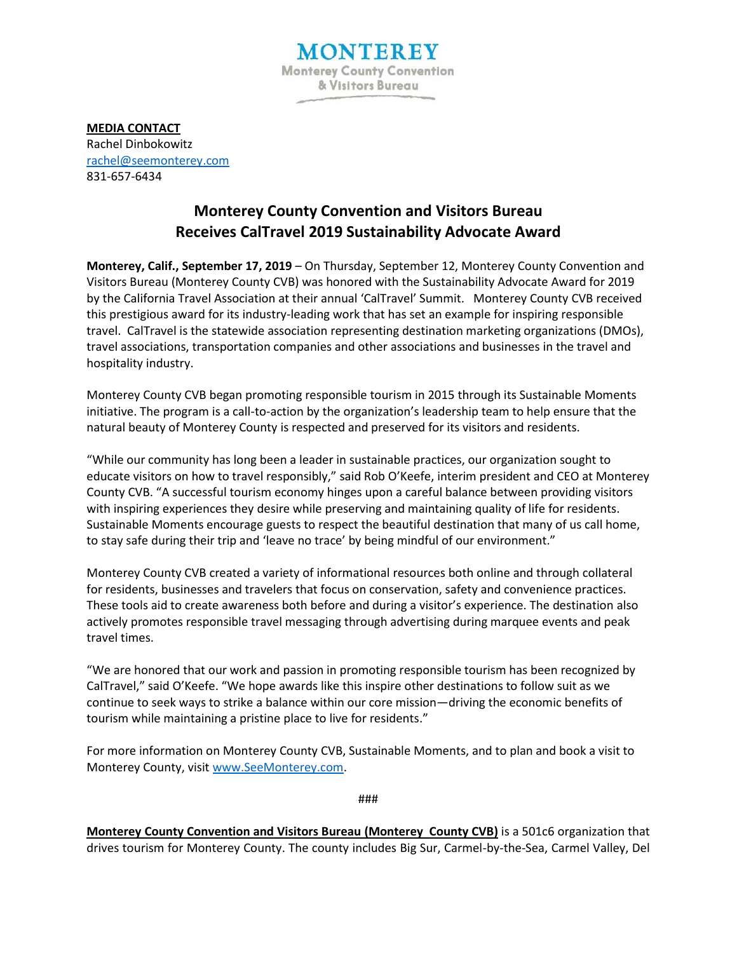

**MEDIA CONTACT** Rachel Dinbokowitz [rachel@seemonterey.com](mailto:rachel@seemonterey.com) 831-657-6434

## **Monterey County Convention and Visitors Bureau Receives CalTravel 2019 Sustainability Advocate Award**

**Monterey, Calif., September 17, 2019** – On Thursday, September 12, Monterey County Convention and Visitors Bureau (Monterey County CVB) was honored with the Sustainability Advocate Award for 2019 by the California Travel Association at their annual 'CalTravel' Summit. Monterey County CVB received this prestigious award for its industry-leading work that has set an example for inspiring responsible travel. CalTravel is the statewide association representing destination marketing organizations (DMOs), travel associations, transportation companies and other associations and businesses in the travel and hospitality industry.

Monterey County CVB began promoting responsible tourism in 2015 through its Sustainable Moments initiative. The program is a call-to-action by the organization's leadership team to help ensure that the natural beauty of Monterey County is respected and preserved for its visitors and residents.

"While our community has long been a leader in sustainable practices, our organization sought to educate visitors on how to travel responsibly," said Rob O'Keefe, interim president and CEO at Monterey County CVB. "A successful tourism economy hinges upon a careful balance between providing visitors with inspiring experiences they desire while preserving and maintaining quality of life for residents. Sustainable Moments encourage guests to respect the beautiful destination that many of us call home, to stay safe during their trip and 'leave no trace' by being mindful of our environment."

Monterey County CVB created a variety of informational resources both online and through collateral for residents, businesses and travelers that focus on conservation, safety and convenience practices. These tools aid to create awareness both before and during a visitor's experience. The destination also actively promotes responsible travel messaging through advertising during marquee events and peak travel times.

"We are honored that our work and passion in promoting responsible tourism has been recognized by CalTravel," said O'Keefe. "We hope awards like this inspire other destinations to follow suit as we continue to seek ways to strike a balance within our core mission—driving the economic benefits of tourism while maintaining a pristine place to live for residents."

For more information on Monterey County CVB, Sustainable Moments, and to plan and book a visit to Monterey County, visi[t www.SeeMonterey.com.](http://www.seemonterey.com/)

###

**Monterey County Convention and Visitors Bureau (Monterey County CVB)** is a 501c6 organization that drives tourism for Monterey County. The county includes Big Sur, Carmel-by-the-Sea, Carmel Valley, Del